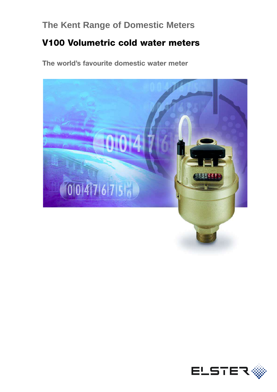# **The Kent Range of Domestic Meters**

# **V100 Volumetric cold water meters**

**The world's favourite domestic water meter**



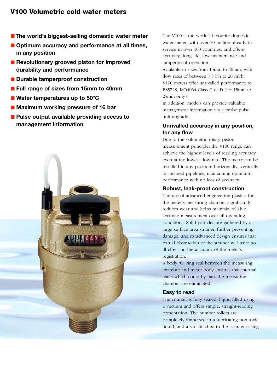# **V100 Volumetric cold water meters**

- **The world's biggest-selling domestic water meter**
- Optimum accuracy and performance at all times, **in any position**
- **Revolutionary grooved piston for improved durability and performance**
- Durable tamperproof construction
- **Full range of sizes from 15mm to 40mm**
- Water temperatures up to 50<sup>°</sup>C
- **Maximum working pressure of 16 bar**
- Pulse output available providing access to **management information**



The V100 is the world's favourite domestic water meter, with over 50 million already in service in over 100 countries, and offers accuracy, long life, low maintenance and tamperproof operation.

Available in sizes from 15mm to 40mm, with flow rates of between 7.5 l/h to 20  $\text{m}^3/\text{h}$ , V100 meters offer unrivalled performance to BS5728, ISO4064 Class C or D (for 15mm to 25mm only).

In addition, models can provide valuable management information via a probe pulse unit upgrade.

## **Unrivalled accuracy in any position, for any flow**

Due to the volumetric rotary piston measurement principle, the V100 range can achieve the highest levels of reading accuracy even at the lowest flow rate. The meter can be installed in any position: horizontally, vertically or inclined pipelines, maintaining optimum performance with no loss of accuracy.

### **Robust, leak-proof construction**

The use of advanced engineering plastics for the meter's measuring chamber significantly reduces wear and helps maintain reliable, accurate measurement over all operating conditions. Solid particles are gathered by a large surface area strainer, further preventing damage; and its advanced design ensures that partial obstruction of the strainer will have no ill effect on the accuracy of the meter's registration.

A body 'O' ring seal between the measuring chamber and meter body ensures that internal leaks which could by-pass the measuring chamber are eliminated.

### **Easy to read**

The counter is fully sealed, liquid filled using a vacuum and offers simple, straight-reading presentation. The number rollers are completely immersed in a lubricating non-toxic liquid, and a sac attached to the counter casing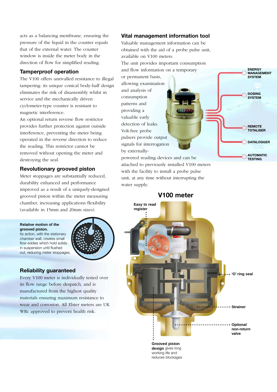acts as a balancing membrane, ensuring the pressure of the liquid in the counter equals that of the external water. The counter window is inside the meter body in the direction of flow for simplified reading.

## **Tamperproof operation**

The V100 offers unrivalled resistance to illegal tampering: its unique conical body-half design eliminates the risk of disassembly whilst in service and the mechanically driven cyclometer-type counter is resistant to magnetic interference.

An optional return reverse flow restrictor provides further protection against outside interference, preventing the meter being operated in the reverse direction to reduce the reading. This restrictor cannot be removed without opening the meter and destroying the seal.

## **Revolutionary grooved piston**

Meter stoppages are substantially reduced, durability enhanced and performance improved as a result of a uniquely-designed grooved piston within the meter measuring chamber, increasing applications flexibility (available in 15mm and 20mm sizes).

#### **Relative motion of the grooved piston.**

chamber wall, creates small

in suspension until flushed

Its action, with the stationary flow eddies which hold solids out, reducing meter stoppages.

## **Reliability guaranteed**

Every V100 meter is individually tested over its flow range before despatch, and is manufactured from the highest quality materials ensuring maximum resistance to wear and corrosion. All Elster meters are UK WRc approved to prevent health risk.

## **Vital management information tool**

Valuable management information can be obtained with the aid of a probe pulse unit, available on V100 meters.

> **ENERGY MANAGEMENT SYSTEM**

**DOSING SYSTEM**

**REMOTE TOTALISER**

**AUTOMATIC TESTING**

**DATALOGGER**

The unit provides important consumption and flow information on a temporary or permanent basis, allowing examination and analysis of consumption

providing a valuable early detection of leaks. Volt-free probe pulsers provide output signals for interrogation by externally-

patterns and

powered reading devices and can be attached to previously installed V100 meters with the facility to install a probe pulse unit, at any time without interrupting the water supply.

**V100 meter**



**Grooved piston design** gives long working life and reduces blockages